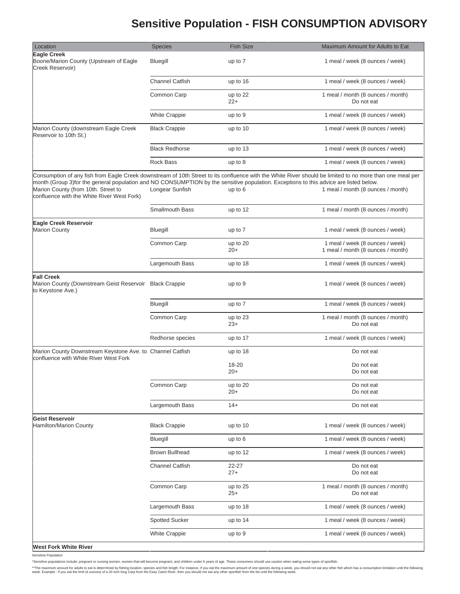## **Sensitive Population - FISH CONSUMPTION ADVISORY**

| Location                                                                                                                                                                                                                   | <b>Species</b>         | <b>Fish Size</b>  | Maximum Amount for Adults to Eat                                                                                                                                                              |
|----------------------------------------------------------------------------------------------------------------------------------------------------------------------------------------------------------------------------|------------------------|-------------------|-----------------------------------------------------------------------------------------------------------------------------------------------------------------------------------------------|
| <b>Eagle Creek</b><br>Boone/Marion County (Upstream of Eagle<br>Creek Reservoir)                                                                                                                                           | Bluegill               | up to 7           | 1 meal / week (8 ounces / week)                                                                                                                                                               |
|                                                                                                                                                                                                                            | <b>Channel Catfish</b> | up to 16          | 1 meal / week (8 ounces / week)                                                                                                                                                               |
|                                                                                                                                                                                                                            | Common Carp            | up to 22<br>$22+$ | 1 meal / month (8 ounces / month)<br>Do not eat                                                                                                                                               |
|                                                                                                                                                                                                                            | <b>White Crappie</b>   | up to 9           | 1 meal / week (8 ounces / week)                                                                                                                                                               |
| Marion County (downstream Eagle Creek<br>Reservoir to 10th St.)                                                                                                                                                            | <b>Black Crappie</b>   | up to 10          | 1 meal / week (8 ounces / week)                                                                                                                                                               |
|                                                                                                                                                                                                                            | <b>Black Redhorse</b>  | up to 13          | 1 meal / week (8 ounces / week)                                                                                                                                                               |
|                                                                                                                                                                                                                            | <b>Rock Bass</b>       | up to 8           | 1 meal / week (8 ounces / week)                                                                                                                                                               |
| month (Group 3)for the general population and NO CONSUMPTION by the sensitive population. Exceptions to this advice are listed below.<br>Marion County (from 10th. Street to<br>confluence with the White River West Fork) | Longear Sunfish        | up to 6           | Consumption of any fish from Eagle Creek downstream of 10th Street to its confluence with the White River should be limited to no more than one meal per<br>1 meal / month (8 ounces / month) |
|                                                                                                                                                                                                                            | Smallmouth Bass        | up to 12          | 1 meal / month (8 ounces / month)                                                                                                                                                             |
| Eagle Creek Reservoir<br><b>Marion County</b>                                                                                                                                                                              | Bluegill               | up to 7           | 1 meal / week (8 ounces / week)                                                                                                                                                               |
|                                                                                                                                                                                                                            | Common Carp            | up to 20<br>$20+$ | 1 meal / week (8 ounces / week)<br>1 meal / month (8 ounces / month)                                                                                                                          |
|                                                                                                                                                                                                                            | Largemouth Bass        | up to 18          | 1 meal / week (8 ounces / week)                                                                                                                                                               |
| <b>Fall Creek</b><br>Marion County (Downstream Geist Reservoir Black Crappie<br>to Keystone Ave.)                                                                                                                          |                        | up to 9           | 1 meal / week (8 ounces / week)                                                                                                                                                               |
|                                                                                                                                                                                                                            | Bluegill               | up to 7           | 1 meal / week (8 ounces / week)                                                                                                                                                               |
|                                                                                                                                                                                                                            | Common Carp            | up to 23<br>$23+$ | 1 meal / month (8 ounces / month)<br>Do not eat                                                                                                                                               |
|                                                                                                                                                                                                                            | Redhorse species       | up to 17          | 1 meal / week (8 ounces / week)                                                                                                                                                               |
| Marion County Downstream Keystone Ave. to Channel Catfish<br>confluence with White River West Fork                                                                                                                         |                        | up to 18          | Do not eat                                                                                                                                                                                    |
|                                                                                                                                                                                                                            |                        | 18-20<br>$20+$    | Do not eat<br>Do not eat                                                                                                                                                                      |
|                                                                                                                                                                                                                            | Common Carp            | up to 20<br>$20+$ | Do not eat<br>Do not eat                                                                                                                                                                      |
|                                                                                                                                                                                                                            | Largemouth Bass        | $14+$             | Do not eat                                                                                                                                                                                    |
| Geist Reservoir<br>Hamilton/Marion County                                                                                                                                                                                  | <b>Black Crappie</b>   | up to 10          | 1 meal / week (8 ounces / week)                                                                                                                                                               |
|                                                                                                                                                                                                                            | Bluegill               | up to $6$         | 1 meal / week (8 ounces / week)                                                                                                                                                               |
|                                                                                                                                                                                                                            | <b>Brown Bullhead</b>  | up to 12          | 1 meal / week (8 ounces / week)                                                                                                                                                               |
|                                                                                                                                                                                                                            | <b>Channel Catfish</b> | 22-27<br>$27+$    | Do not eat<br>Do not eat                                                                                                                                                                      |
|                                                                                                                                                                                                                            | Common Carp            | up to 25<br>$25+$ | 1 meal / month (8 ounces / month)<br>Do not eat                                                                                                                                               |
|                                                                                                                                                                                                                            | Largemouth Bass        | up to 18          | 1 meal / week (8 ounces / week)                                                                                                                                                               |
|                                                                                                                                                                                                                            | <b>Spotted Sucker</b>  | up to 14          | 1 meal / week (8 ounces / week)                                                                                                                                                               |
|                                                                                                                                                                                                                            | <b>White Crappie</b>   | up to 9           | 1 meal / week (8 ounces / week)                                                                                                                                                               |
| <b>West Fork White River</b>                                                                                                                                                                                               |                        |                   |                                                                                                                                                                                               |

Sensitive Population

\*Sensitive populations include: pregnant or nursing women, women that will become pregnant, and children under 6 years of age. These consumers should use caution when eating some types of sportfish.

\*\*The maximum amount for adults to eat is determined by fishing location, species and fish length. For instance, if you eat the maximum amount of one species during a week, you should not eat any other sho when week.<br>week.